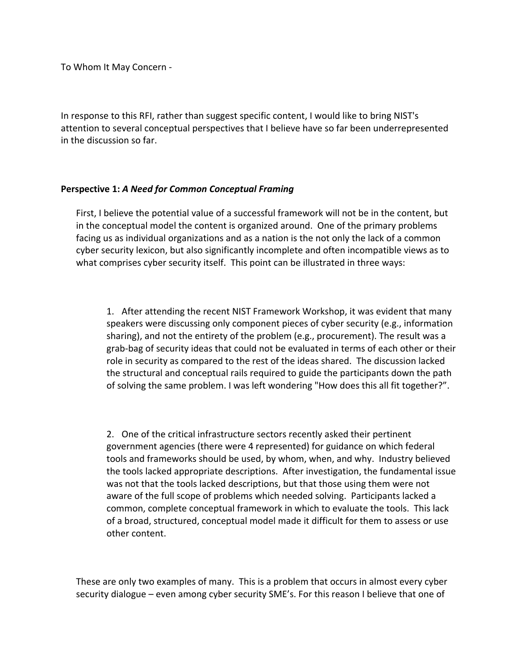To Whom It May Concern -

In response to this RFI, rather than suggest specific content, I would like to bring NIST's attention to several conceptual perspectives that I believe have so far been underrepresented in the discussion so far.

## **Perspective 1:** *A Need for Common Conceptual Framing*

First, I believe the potential value of a successful framework will not be in the content, but in the conceptual model the content is organized around. One of the primary problems facing us as individual organizations and as a nation is the not only the lack of a common cyber security lexicon, but also significantly incomplete and often incompatible views as to what comprises cyber security itself. This point can be illustrated in three ways:

1. After attending the recent NIST Framework Workshop, it was evident that many speakers were discussing only component pieces of cyber security (e.g., information sharing), and not the entirety of the problem (e.g., procurement). The result was a grab-bag of security ideas that could not be evaluated in terms of each other or their role in security as compared to the rest of the ideas shared. The discussion lacked the structural and conceptual rails required to guide the participants down the path of solving the same problem. I was left wondering "How does this all fit together?".

2. One of the critical infrastructure sectors recently asked their pertinent government agencies (there were 4 represented) for guidance on which federal tools and frameworks should be used, by whom, when, and why. Industry believed the tools lacked appropriate descriptions. After investigation, the fundamental issue was not that the tools lacked descriptions, but that those using them were not aware of the full scope of problems which needed solving. Participants lacked a common, complete conceptual framework in which to evaluate the tools. This lack of a broad, structured, conceptual model made it difficult for them to assess or use other content.

These are only two examples of many. This is a problem that occurs in almost every cyber security dialogue – even among cyber security SME's. For this reason I believe that one of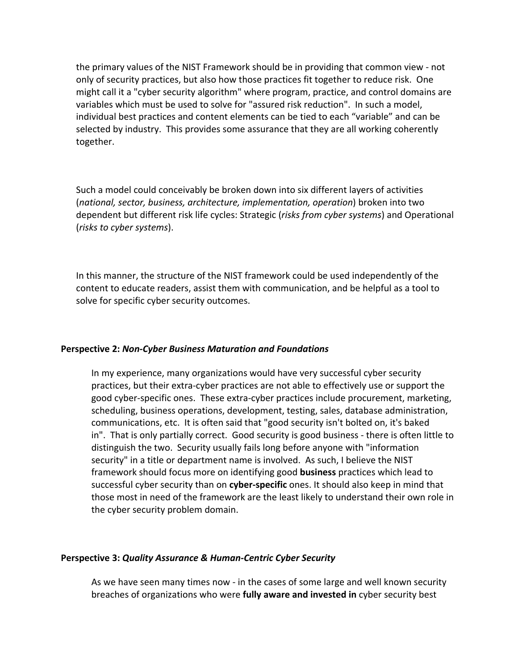the primary values of the NIST Framework should be in providing that common view - not only of security practices, but also how those practices fit together to reduce risk. One might call it a "cyber security algorithm" where program, practice, and control domains are variables which must be used to solve for "assured risk reduction". In such a model, individual best practices and content elements can be tied to each "variable" and can be selected by industry. This provides some assurance that they are all working coherently together.

Such a model could conceivably be broken down into six different layers of activities (*national, sector, business, architecture, implementation, operation*) broken into two dependent but different risk life cycles: Strategic (*risks from cyber systems*) and Operational (*risks to cyber systems*).

In this manner, the structure of the NIST framework could be used independently of the content to educate readers, assist them with communication, and be helpful as a tool to solve for specific cyber security outcomes.

## **Perspective 2:** *Non-Cyber Business Maturation and Foundations*

In my experience, many organizations would have very successful cyber security practices, but their extra-cyber practices are not able to effectively use or support the good cyber-specific ones. These extra-cyber practices include procurement, marketing, scheduling, business operations, development, testing, sales, database administration, communications, etc. It is often said that "good security isn't bolted on, it's baked in". That is only partially correct. Good security is good business - there is often little to distinguish the two. Security usually fails long before anyone with "information security" in a title or department name is involved. As such, I believe the NIST framework should focus more on identifying good **business** practices which lead to successful cyber security than on **cyber-specific** ones. It should also keep in mind that those most in need of the framework are the least likely to understand their own role in the cyber security problem domain.

## **Perspective 3:** *Quality Assurance & Human-Centric Cyber Security*

As we have seen many times now - in the cases of some large and well known security breaches of organizations who were **fully aware and invested in** cyber security best